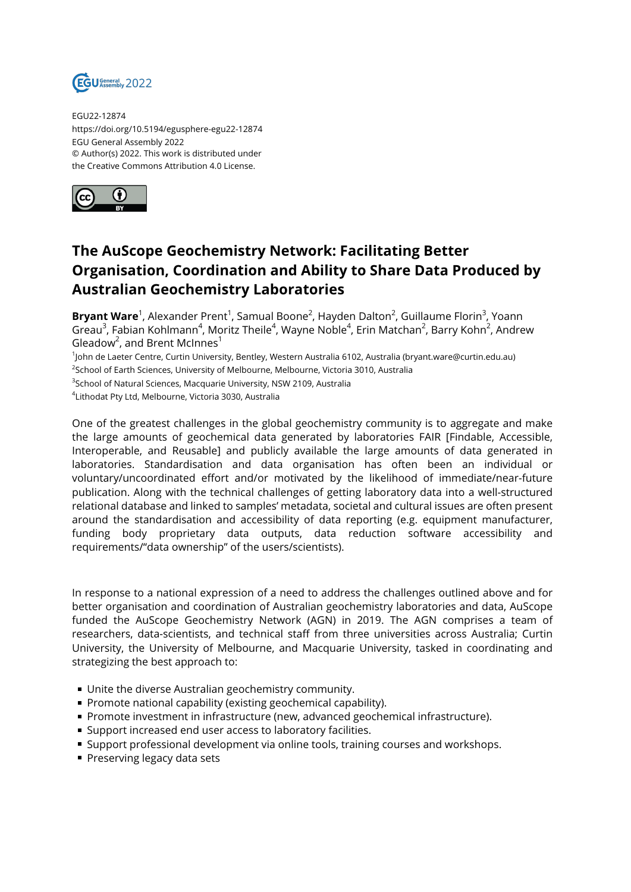

EGU22-12874 https://doi.org/10.5194/egusphere-egu22-12874 EGU General Assembly 2022 © Author(s) 2022. This work is distributed under the Creative Commons Attribution 4.0 License.



## **The AuScope Geochemistry Network: Facilitating Better Organisation, Coordination and Ability to Share Data Produced by Australian Geochemistry Laboratories**

**Bryant Ware**<sup>1</sup>, Alexander Prent<sup>1</sup>, Samual Boone<sup>2</sup>, Hayden Dalton<sup>2</sup>, Guillaume Florin<sup>3</sup>, Yoann Greau $^3$ , Fabian Kohlmann $^4$ , Moritz Theile $^4$ , Wayne Noble $^4$ , Erin Matchan $^2$ , Barry Kohn $^2$ , Andrew Gleadow<sup>2</sup>, and Brent McInnes<sup>1</sup>

1 John de Laeter Centre, Curtin University, Bentley, Western Australia 6102, Australia (bryant.ware@curtin.edu.au)

 $^2$ School of Earth Sciences, University of Melbourne, Melbourne, Victoria 3010, Australia

 $^3$ School of Natural Sciences, Macquarie University, NSW 2109, Australia

4 Lithodat Pty Ltd, Melbourne, Victoria 3030, Australia

One of the greatest challenges in the global geochemistry community is to aggregate and make the large amounts of geochemical data generated by laboratories FAIR [Findable, Accessible, Interoperable, and Reusable] and publicly available the large amounts of data generated in laboratories. Standardisation and data organisation has often been an individual or voluntary/uncoordinated effort and/or motivated by the likelihood of immediate/near-future publication. Along with the technical challenges of getting laboratory data into a well-structured relational database and linked to samples' metadata, societal and cultural issues are often present around the standardisation and accessibility of data reporting (e.g. equipment manufacturer, funding body proprietary data outputs, data reduction software accessibility and requirements/"data ownership" of the users/scientists).

In response to a national expression of a need to address the challenges outlined above and for better organisation and coordination of Australian geochemistry laboratories and data, AuScope funded the AuScope Geochemistry Network (AGN) in 2019. The AGN comprises a team of researchers, data-scientists, and technical staff from three universities across Australia; Curtin University, the University of Melbourne, and Macquarie University, tasked in coordinating and strategizing the best approach to:

- Unite the diverse Australian geochemistry community.
- **Promote national capability (existing geochemical capability).**
- **Promote investment in infrastructure (new, advanced geochemical infrastructure).**
- **Support increased end user access to laboratory facilities.**
- **Support professional development via online tools, training courses and workshops.**
- Preserving legacy data sets